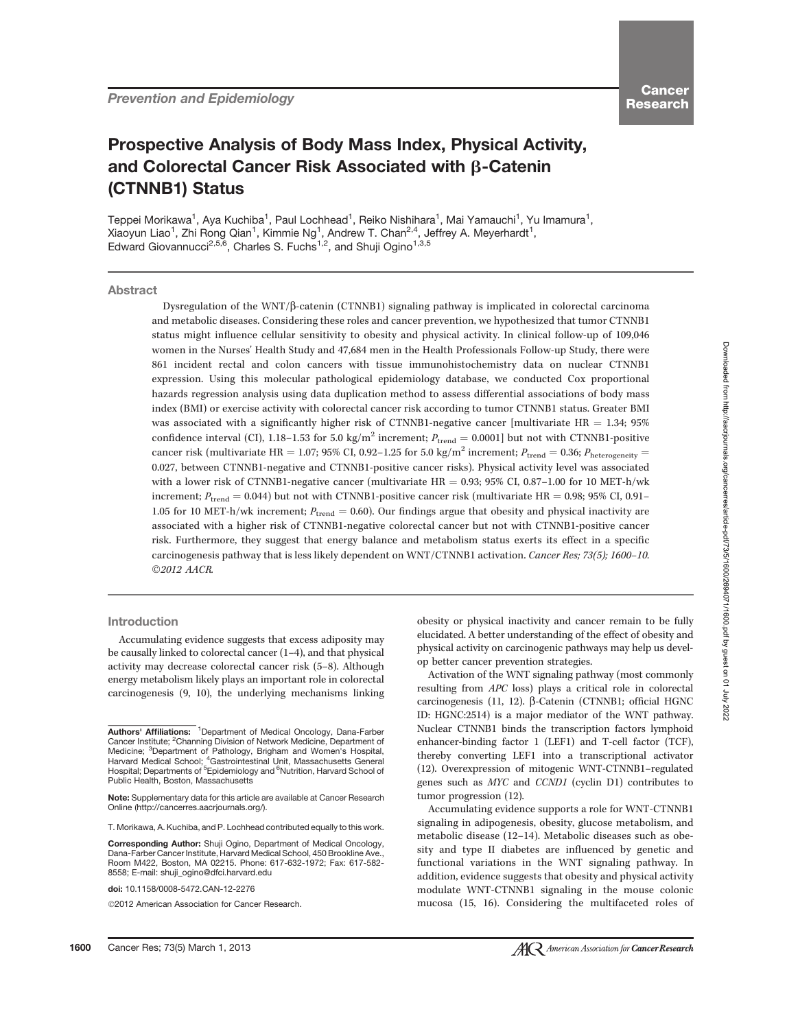# Prospective Analysis of Body Mass Index, Physical Activity, and Colorectal Cancer Risk Associated with  $\beta$ -Catenin (CTNNB1) Status

Teppei Morikawa<sup>1</sup>, Aya Kuchiba<sup>1</sup>, Paul Lochhead<sup>1</sup>, Reiko Nishihara<sup>1</sup>, Mai Yamauchi<sup>1</sup>, Yu Imamura<sup>1</sup>, Xiaoyun Liao<sup>1</sup>, Zhi Rong Qian<sup>1</sup>, Kimmie Ng<sup>1</sup>, Andrew T. Chan<sup>2,4</sup>, Jeffrey A. Meyerhardt<sup>1</sup>, Edward Giovannucci<sup>2,5,6</sup>, Charles S. Fuchs<sup>1,2</sup>, and Shuji Ogino<sup>1,3,5</sup>

Abstract

Dysregulation of the WNT/b-catenin (CTNNB1) signaling pathway is implicated in colorectal carcinoma and metabolic diseases. Considering these roles and cancer prevention, we hypothesized that tumor CTNNB1 status might influence cellular sensitivity to obesity and physical activity. In clinical follow-up of 109,046 women in the Nurses' Health Study and 47,684 men in the Health Professionals Follow-up Study, there were 861 incident rectal and colon cancers with tissue immunohistochemistry data on nuclear CTNNB1 expression. Using this molecular pathological epidemiology database, we conducted Cox proportional hazards regression analysis using data duplication method to assess differential associations of body mass index (BMI) or exercise activity with colorectal cancer risk according to tumor CTNNB1 status. Greater BMI was associated with a significantly higher risk of CTNNB1-negative cancer [multivariate  $HR = 1.34$ ; 95% confidence interval (CI), 1.18–1.53 for 5.0 kg/m<sup>2</sup> increment;  $P_{\text{trend}} = 0.0001$ ] but not with CTNNB1-positive cancer risk (multivariate HR = 1.07; 95% CI, 0.92–1.25 for 5.0 kg/m<sup>2</sup> increment;  $P_{\text{trend}} = 0.36$ ;  $P_{\text{heterogeneity}} =$ 0.027, between CTNNB1-negative and CTNNB1-positive cancer risks). Physical activity level was associated with a lower risk of CTNNB1-negative cancer (multivariate  $HR = 0.93$ ; 95% CI, 0.87-1.00 for 10 MET-h/wk increment;  $P_{trend} = 0.044$ ) but not with CTNNB1-positive cancer risk (multivariate HR = 0.98; 95% CI, 0.91– 1.05 for 10 MET-h/wk increment;  $P_{trend} = 0.60$ ). Our findings argue that obesity and physical inactivity are associated with a higher risk of CTNNB1-negative colorectal cancer but not with CTNNB1-positive cancer risk. Furthermore, they suggest that energy balance and metabolism status exerts its effect in a specific carcinogenesis pathway that is less likely dependent on WNT/CTNNB1 activation. Cancer Res; 73(5); 1600–10. ©2012 AACR.

# Introduction

Accumulating evidence suggests that excess adiposity may be causally linked to colorectal cancer (1–4), and that physical activity may decrease colorectal cancer risk (5–8). Although energy metabolism likely plays an important role in colorectal carcinogenesis (9, 10), the underlying mechanisms linking

doi: 10.1158/0008-5472.CAN-12-2276

©2012 American Association for Cancer Research.

obesity or physical inactivity and cancer remain to be fully elucidated. A better understanding of the effect of obesity and physical activity on carcinogenic pathways may help us develop better cancer prevention strategies.

Activation of the WNT signaling pathway (most commonly resulting from APC loss) plays a critical role in colorectal carcinogenesis (11, 12).  $\beta$ -Catenin (CTNNB1; official HGNC ID: HGNC:2514) is a major mediator of the WNT pathway. Nuclear CTNNB1 binds the transcription factors lymphoid enhancer-binding factor 1 (LEF1) and T-cell factor (TCF), thereby converting LEF1 into a transcriptional activator (12). Overexpression of mitogenic WNT-CTNNB1–regulated genes such as MYC and CCND1 (cyclin D1) contributes to tumor progression (12).

Accumulating evidence supports a role for WNT-CTNNB1 signaling in adipogenesis, obesity, glucose metabolism, and metabolic disease (12–14). Metabolic diseases such as obesity and type II diabetes are influenced by genetic and functional variations in the WNT signaling pathway. In addition, evidence suggests that obesity and physical activity modulate WNT-CTNNB1 signaling in the mouse colonic mucosa (15, 16). Considering the multifaceted roles of

Authors' Affiliations: <sup>1</sup>Department of Medical Oncology, Dana-Farber Cancer Institute; <sup>2</sup>Channing Division of Network Medicine, Department of Medicine; 3Department of Pathology, Brigham and Women's Hospital, Harvard Medical School; <sup>4</sup>Gastrointestinal Unit, Massachusetts General Hospital; Departments of <sup>5</sup>Epidemiology and <sup>6</sup>Nutrition, Harvard School of Public Health, Boston, Massachusetts

Note: Supplementary data for this article are available at Cancer Research Online (http://cancerres.aacrjournals.org/).

T. Morikawa, A. Kuchiba, and P. Lochhead contributed equally to this work.

Corresponding Author: Shuji Ogino, Department of Medical Oncology, Dana-Farber Cancer Institute, Harvard Medical School, 450 Brookline Ave., Room M422, Boston, MA 02215. Phone: 617-632-1972; Fax: 617-582- 8558; E-mail: shuji\_ogino@dfci.harvard.edu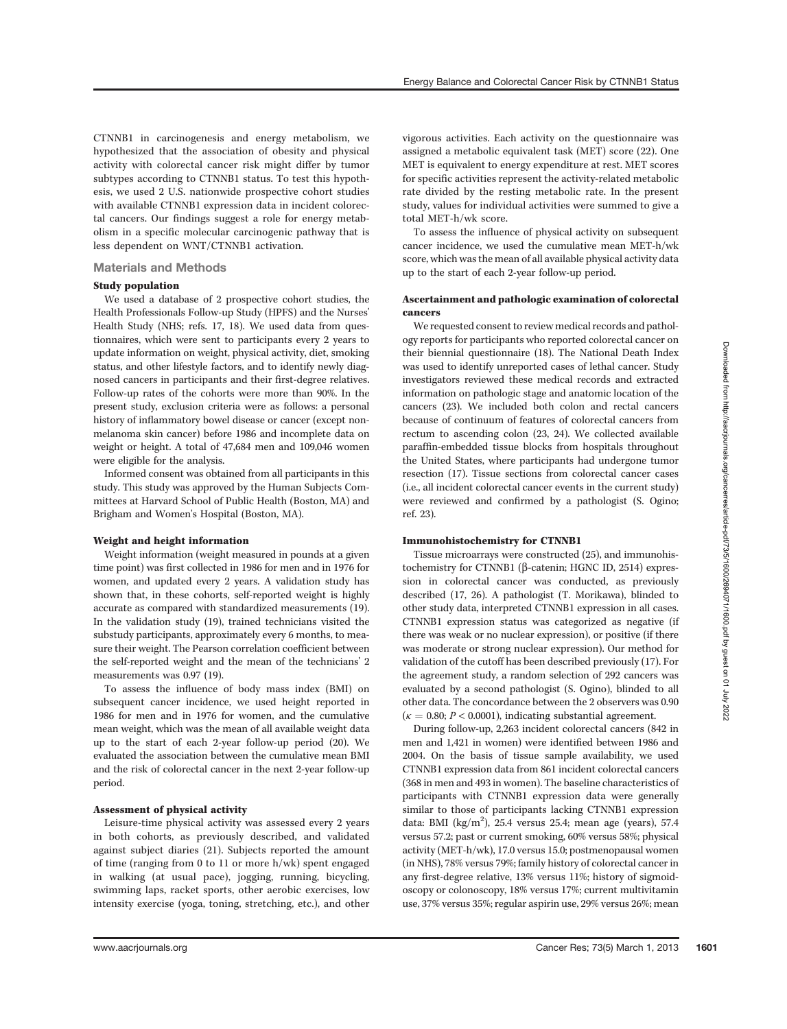CTNNB1 in carcinogenesis and energy metabolism, we hypothesized that the association of obesity and physical activity with colorectal cancer risk might differ by tumor subtypes according to CTNNB1 status. To test this hypothesis, we used 2 U.S. nationwide prospective cohort studies with available CTNNB1 expression data in incident colorectal cancers. Our findings suggest a role for energy metabolism in a specific molecular carcinogenic pathway that is less dependent on WNT/CTNNB1 activation.

# Materials and Methods

## Study population

We used a database of 2 prospective cohort studies, the Health Professionals Follow-up Study (HPFS) and the Nurses' Health Study (NHS; refs. 17, 18). We used data from questionnaires, which were sent to participants every 2 years to update information on weight, physical activity, diet, smoking status, and other lifestyle factors, and to identify newly diagnosed cancers in participants and their first-degree relatives. Follow-up rates of the cohorts were more than 90%. In the present study, exclusion criteria were as follows: a personal history of inflammatory bowel disease or cancer (except nonmelanoma skin cancer) before 1986 and incomplete data on weight or height. A total of 47,684 men and 109,046 women were eligible for the analysis.

Informed consent was obtained from all participants in this study. This study was approved by the Human Subjects Committees at Harvard School of Public Health (Boston, MA) and Brigham and Women's Hospital (Boston, MA).

# Weight and height information

Weight information (weight measured in pounds at a given time point) was first collected in 1986 for men and in 1976 for women, and updated every 2 years. A validation study has shown that, in these cohorts, self-reported weight is highly accurate as compared with standardized measurements (19). In the validation study (19), trained technicians visited the substudy participants, approximately every 6 months, to measure their weight. The Pearson correlation coefficient between the self-reported weight and the mean of the technicians' 2 measurements was 0.97 (19).

To assess the influence of body mass index (BMI) on subsequent cancer incidence, we used height reported in 1986 for men and in 1976 for women, and the cumulative mean weight, which was the mean of all available weight data up to the start of each 2-year follow-up period (20). We evaluated the association between the cumulative mean BMI and the risk of colorectal cancer in the next 2-year follow-up period.

## Assessment of physical activity

Leisure-time physical activity was assessed every 2 years in both cohorts, as previously described, and validated against subject diaries (21). Subjects reported the amount of time (ranging from 0 to 11 or more h/wk) spent engaged in walking (at usual pace), jogging, running, bicycling, swimming laps, racket sports, other aerobic exercises, low intensity exercise (yoga, toning, stretching, etc.), and other vigorous activities. Each activity on the questionnaire was assigned a metabolic equivalent task (MET) score (22). One MET is equivalent to energy expenditure at rest. MET scores for specific activities represent the activity-related metabolic rate divided by the resting metabolic rate. In the present study, values for individual activities were summed to give a total MET-h/wk score.

To assess the influence of physical activity on subsequent cancer incidence, we used the cumulative mean MET-h/wk score, which was the mean of all available physical activity data up to the start of each 2-year follow-up period.

## Ascertainment and pathologic examination of colorectal cancers

We requested consent to review medical records and pathology reports for participants who reported colorectal cancer on their biennial questionnaire (18). The National Death Index was used to identify unreported cases of lethal cancer. Study investigators reviewed these medical records and extracted information on pathologic stage and anatomic location of the cancers (23). We included both colon and rectal cancers because of continuum of features of colorectal cancers from rectum to ascending colon (23, 24). We collected available paraffin-embedded tissue blocks from hospitals throughout the United States, where participants had undergone tumor resection (17). Tissue sections from colorectal cancer cases (i.e., all incident colorectal cancer events in the current study) were reviewed and confirmed by a pathologist (S. Ogino; ref. 23).

## Immunohistochemistry for CTNNB1

Tissue microarrays were constructed (25), and immunohistochemistry for CTNNB1 ( $\beta$ -catenin; HGNC ID, 2514) expression in colorectal cancer was conducted, as previously described (17, 26). A pathologist (T. Morikawa), blinded to other study data, interpreted CTNNB1 expression in all cases. CTNNB1 expression status was categorized as negative (if there was weak or no nuclear expression), or positive (if there was moderate or strong nuclear expression). Our method for validation of the cutoff has been described previously (17). For the agreement study, a random selection of 292 cancers was evaluated by a second pathologist (S. Ogino), blinded to all other data. The concordance between the 2 observers was 0.90  $(k = 0.80; P < 0.0001)$ , indicating substantial agreement.

During follow-up, 2,263 incident colorectal cancers (842 in men and 1,421 in women) were identified between 1986 and 2004. On the basis of tissue sample availability, we used CTNNB1 expression data from 861 incident colorectal cancers (368 in men and 493 in women). The baseline characteristics of participants with CTNNB1 expression data were generally similar to those of participants lacking CTNNB1 expression data: BMI  $(kg/m^2)$ , 25.4 versus 25.4; mean age (years), 57.4 versus 57.2; past or current smoking, 60% versus 58%; physical activity (MET-h/wk), 17.0 versus 15.0; postmenopausal women (in NHS), 78% versus 79%; family history of colorectal cancer in any first-degree relative, 13% versus 11%; history of sigmoidoscopy or colonoscopy, 18% versus 17%; current multivitamin use, 37% versus 35%; regular aspirin use, 29% versus 26%; mean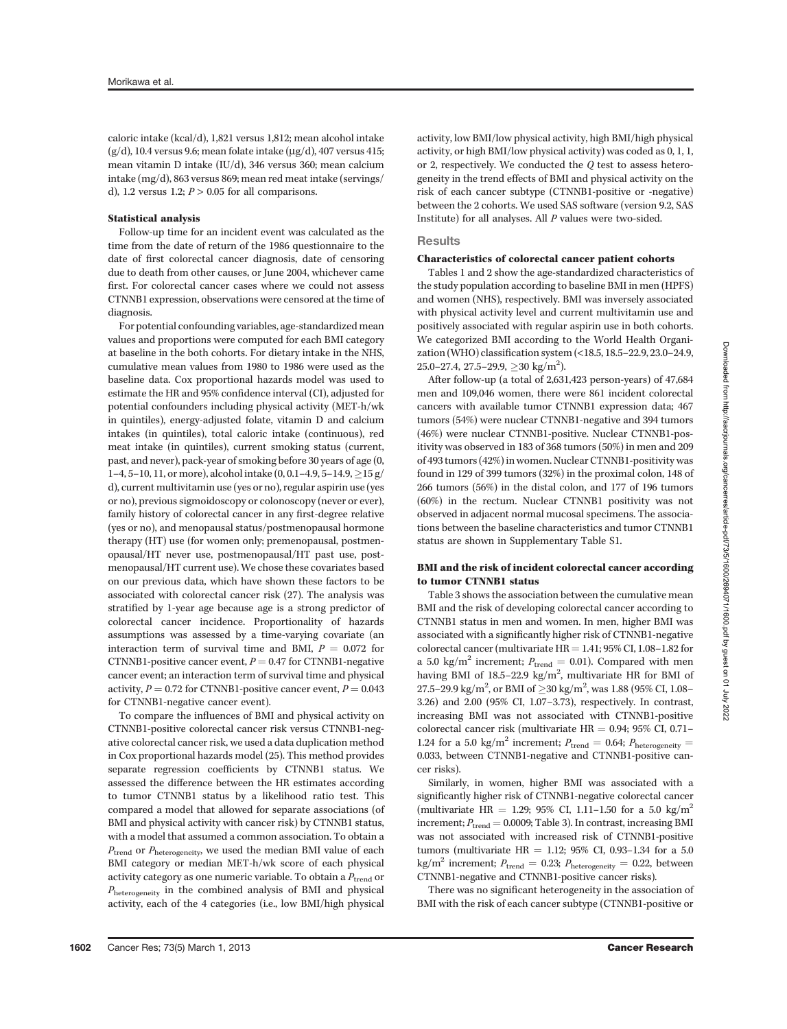caloric intake (kcal/d), 1,821 versus 1,812; mean alcohol intake  $(g/d)$ , 10.4 versus 9.6; mean folate intake  $(\mu g/d)$ , 407 versus 415; mean vitamin D intake (IU/d), 346 versus 360; mean calcium intake (mg/d), 863 versus 869; mean red meat intake (servings/ d), 1.2 versus 1.2;  $P > 0.05$  for all comparisons.

## Statistical analysis

Follow-up time for an incident event was calculated as the time from the date of return of the 1986 questionnaire to the date of first colorectal cancer diagnosis, date of censoring due to death from other causes, or June 2004, whichever came first. For colorectal cancer cases where we could not assess CTNNB1 expression, observations were censored at the time of diagnosis.

For potential confounding variables, age-standardized mean values and proportions were computed for each BMI category at baseline in the both cohorts. For dietary intake in the NHS, cumulative mean values from 1980 to 1986 were used as the baseline data. Cox proportional hazards model was used to estimate the HR and 95% confidence interval (CI), adjusted for potential confounders including physical activity (MET-h/wk in quintiles), energy-adjusted folate, vitamin D and calcium intakes (in quintiles), total caloric intake (continuous), red meat intake (in quintiles), current smoking status (current, past, and never), pack-year of smoking before 30 years of age (0,  $1-4, 5-10, 11,$  or more), alcohol intake  $(0, 0.1-4.9, 5-14.9, \geq 15 \text{ g/m}^2)$ d), current multivitamin use (yes or no), regular aspirin use (yes or no), previous sigmoidoscopy or colonoscopy (never or ever), family history of colorectal cancer in any first-degree relative (yes or no), and menopausal status/postmenopausal hormone therapy (HT) use (for women only; premenopausal, postmenopausal/HT never use, postmenopausal/HT past use, postmenopausal/HT current use). We chose these covariates based on our previous data, which have shown these factors to be associated with colorectal cancer risk (27). The analysis was stratified by 1-year age because age is a strong predictor of colorectal cancer incidence. Proportionality of hazards assumptions was assessed by a time-varying covariate (an interaction term of survival time and BMI,  $P = 0.072$  for CTNNB1-positive cancer event,  $P = 0.47$  for CTNNB1-negative cancer event; an interaction term of survival time and physical activity,  $P = 0.72$  for CTNNB1-positive cancer event,  $P = 0.043$ for CTNNB1-negative cancer event).

To compare the influences of BMI and physical activity on CTNNB1-positive colorectal cancer risk versus CTNNB1-negative colorectal cancer risk, we used a data duplication method in Cox proportional hazards model (25). This method provides separate regression coefficients by CTNNB1 status. We assessed the difference between the HR estimates according to tumor CTNNB1 status by a likelihood ratio test. This compared a model that allowed for separate associations (of BMI and physical activity with cancer risk) by CTNNB1 status, with a model that assumed a common association. To obtain a  $P_{\text{trend}}$  or  $P_{\text{heterogeneity}}$ , we used the median BMI value of each BMI category or median MET-h/wk score of each physical activity category as one numeric variable. To obtain a  $P_{\text{trend}}$  or Pheterogeneity in the combined analysis of BMI and physical activity, each of the 4 categories (i.e., low BMI/high physical activity, low BMI/low physical activity, high BMI/high physical activity, or high BMI/low physical activity) was coded as 0, 1, 1, or 2, respectively. We conducted the  $O$  test to assess heterogeneity in the trend effects of BMI and physical activity on the risk of each cancer subtype (CTNNB1-positive or -negative) between the 2 cohorts. We used SAS software (version 9.2, SAS Institute) for all analyses. All P values were two-sided.

# **Results**

#### Characteristics of colorectal cancer patient cohorts

Tables 1 and 2 show the age-standardized characteristics of the study population according to baseline BMI in men (HPFS) and women (NHS), respectively. BMI was inversely associated with physical activity level and current multivitamin use and positively associated with regular aspirin use in both cohorts. We categorized BMI according to the World Health Organization (WHO) classification system (<18.5, 18.5–22.9, 23.0–24.9,  $25.0 - 27.4$ ,  $27.5 - 29.9$ ,  $\geq$  30 kg/m<sup>2</sup>).

After follow-up (a total of 2,631,423 person-years) of 47,684 men and 109,046 women, there were 861 incident colorectal cancers with available tumor CTNNB1 expression data; 467 tumors (54%) were nuclear CTNNB1-negative and 394 tumors (46%) were nuclear CTNNB1-positive. Nuclear CTNNB1-positivity was observed in 183 of 368 tumors (50%) in men and 209 of 493 tumors (42%) in women. Nuclear CTNNB1-positivity was found in 129 of 399 tumors (32%) in the proximal colon, 148 of 266 tumors (56%) in the distal colon, and 177 of 196 tumors (60%) in the rectum. Nuclear CTNNB1 positivity was not observed in adjacent normal mucosal specimens. The associations between the baseline characteristics and tumor CTNNB1 status are shown in Supplementary Table S1.

# BMI and the risk of incident colorectal cancer according to tumor CTNNB1 status

Table 3 shows the association between the cumulative mean BMI and the risk of developing colorectal cancer according to CTNNB1 status in men and women. In men, higher BMI was associated with a significantly higher risk of CTNNB1-negative colorectal cancer (multivariate  $HR = 1.41$ ; 95% CI, 1.08-1.82 for a 5.0 kg/m<sup>2</sup> increment;  $P_{\text{trend}} = 0.01$ ). Compared with men having BMI of  $18.5-22.9$  kg/m<sup>2</sup>, multivariate HR for BMI of 27.5–29.9 kg/m<sup>2</sup>, or BMI of  $\geq$ 30 kg/m<sup>2</sup>, was 1.88 (95% CI, 1.08– 3.26) and 2.00 (95% CI, 1.07–3.73), respectively. In contrast, increasing BMI was not associated with CTNNB1-positive colorectal cancer risk (multivariate  $HR = 0.94$ ; 95% CI, 0.71– 1.24 for a 5.0 kg/m<sup>2</sup> increment;  $P_{\text{trend}} = 0.64; P_{\text{heterogeneity}} =$ 0.033, between CTNNB1-negative and CTNNB1-positive cancer risks).

Similarly, in women, higher BMI was associated with a significantly higher risk of CTNNB1-negative colorectal cancer (multivariate HR = 1.29; 95% CI, 1.11–1.50 for a 5.0 kg/m<sup>2</sup> increment;  $P_{\text{trend}} = 0.0009$ ; Table 3). In contrast, increasing BMI was not associated with increased risk of CTNNB1-positive tumors (multivariate  $HR = 1.12$ ; 95% CI, 0.93-1.34 for a 5.0 kg/m<sup>2</sup> increment;  $P_{\text{trend}} = 0.23$ ;  $P_{\text{heterogeneity}} = 0.22$ , between CTNNB1-negative and CTNNB1-positive cancer risks).

There was no significant heterogeneity in the association of BMI with the risk of each cancer subtype (CTNNB1-positive or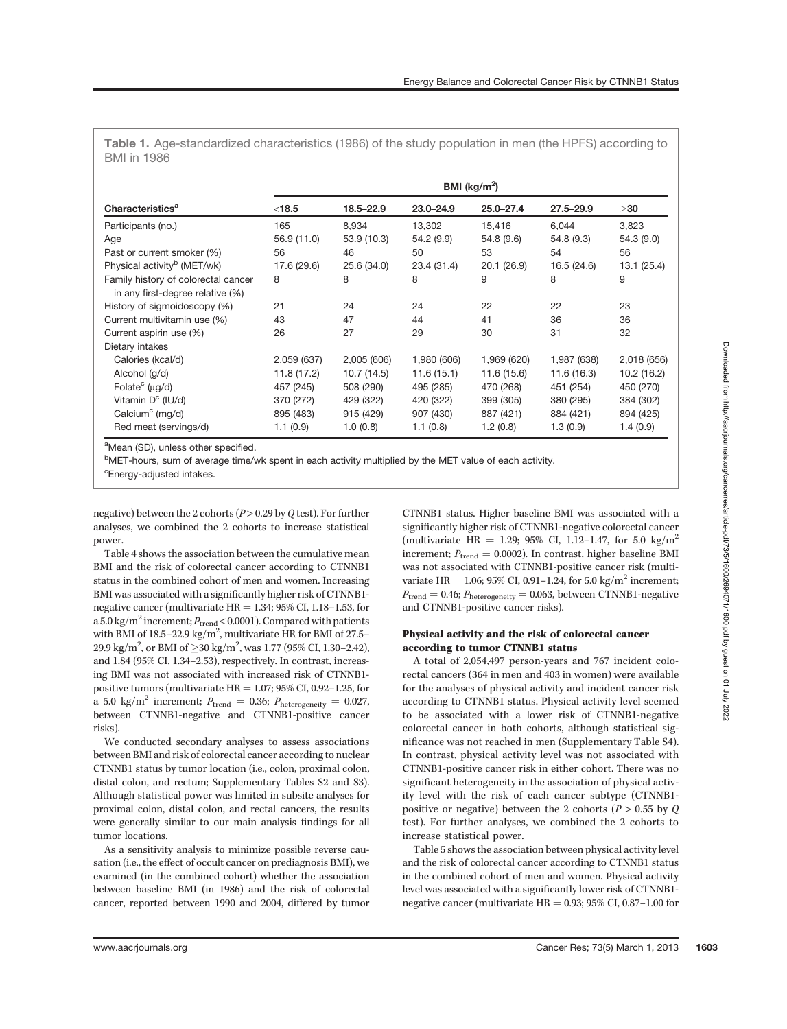Table 1. Age-standardized characteristics (1986) of the study population in men (the HPFS) according to BMI in 1986

|                                                                         | BMI ( $\text{kg/m}^2$ ) |             |               |               |             |             |
|-------------------------------------------------------------------------|-------------------------|-------------|---------------|---------------|-------------|-------------|
| Characteristics <sup>a</sup>                                            | < 18.5                  | 18.5-22.9   | $23.0 - 24.9$ | $25.0 - 27.4$ | 27.5-29.9   | $>$ 30      |
| Participants (no.)                                                      | 165                     | 8,934       | 13,302        | 15,416        | 6,044       | 3,823       |
| Age                                                                     | 56.9 (11.0)             | 53.9 (10.3) | 54.2 (9.9)    | 54.8 (9.6)    | 54.8 (9.3)  | 54.3(9.0)   |
| Past or current smoker (%)                                              | 56                      | 46          | 50            | 53            | 54          | 56          |
| Physical activity <sup>b</sup> (MET/wk)                                 | 17.6 (29.6)             | 25.6 (34.0) | 23.4 (31.4)   | 20.1 (26.9)   | 16.5 (24.6) | 13.1(25.4)  |
| Family history of colorectal cancer<br>in any first-degree relative (%) | 8                       | 8           | 8             | 9             | 8           | 9           |
| History of sigmoidoscopy (%)                                            | 21                      | 24          | 24            | 22            | 22          | 23          |
| Current multivitamin use (%)                                            | 43                      | 47          | 44            | 41            | 36          | 36          |
| Current aspirin use (%)                                                 | 26                      | 27          | 29            | 30            | 31          | 32          |
| Dietary intakes                                                         |                         |             |               |               |             |             |
| Calories (kcal/d)                                                       | 2,059 (637)             | 2,005 (606) | 1,980 (606)   | 1,969 (620)   | 1,987 (638) | 2,018 (656) |
| Alcohol (g/d)                                                           | 11.8 (17.2)             | 10.7 (14.5) | 11.6(15.1)    | 11.6 (15.6)   | 11.6 (16.3) | 10.2(16.2)  |
| Folate <sup>c</sup> (µg/d)                                              | 457 (245)               | 508 (290)   | 495 (285)     | 470 (268)     | 451 (254)   | 450 (270)   |
| Vitamin $D^c$ (IU/d)                                                    | 370 (272)               | 429 (322)   | 420 (322)     | 399 (305)     | 380 (295)   | 384 (302)   |
| Calcium <sup>c</sup> (mg/d)                                             | 895 (483)               | 915 (429)   | 907 (430)     | 887 (421)     | 884 (421)   | 894 (425)   |
| Red meat (servings/d)                                                   | 1.1(0.9)                | 1.0(0.8)    | 1.1(0.8)      | 1.2(0.8)      | 1.3(0.9)    | 1.4(0.9)    |

<sup>a</sup>Mean (SD), unless other specified.

<sup>b</sup>MET-hours, sum of average time/wk spent in each activity multiplied by the MET value of each activity.

<sup>c</sup>Energy-adjusted intakes.

negative) between the 2 cohorts ( $P > 0.29$  by Q test). For further analyses, we combined the 2 cohorts to increase statistical power.

Table 4 shows the association between the cumulative mean BMI and the risk of colorectal cancer according to CTNNB1 status in the combined cohort of men and women. Increasing BMI was associated with a significantly higher risk of CTNNB1 negative cancer (multivariate  $HR = 1.34$ ; 95% CI, 1.18–1.53, for a 5.0 kg/m<sup>2</sup> increment;  $P_{\text{trend}}$  < 0.0001). Compared with patients with BMI of 18.5-22.9 kg/m<sup>2</sup>, multivariate HR for BMI of 27.5-29.9 kg/m<sup>2</sup>, or BMI of  $\geq$  30 kg/m<sup>2</sup>, was 1.77 (95% CI, 1.30–2.42), and 1.84 (95% CI, 1.34–2.53), respectively. In contrast, increasing BMI was not associated with increased risk of CTNNB1 positive tumors (multivariate  $HR = 1.07$ ; 95% CI, 0.92-1.25, for a 5.0 kg/m<sup>2</sup> increment;  $P_{\text{trend}} = 0.36$ ;  $P_{\text{heterogeneity}} = 0.027$ , between CTNNB1-negative and CTNNB1-positive cancer risks).

We conducted secondary analyses to assess associations between BMI and risk of colorectal cancer according to nuclear CTNNB1 status by tumor location (i.e., colon, proximal colon, distal colon, and rectum; Supplementary Tables S2 and S3). Although statistical power was limited in subsite analyses for proximal colon, distal colon, and rectal cancers, the results were generally similar to our main analysis findings for all tumor locations.

As a sensitivity analysis to minimize possible reverse causation (i.e., the effect of occult cancer on prediagnosis BMI), we examined (in the combined cohort) whether the association between baseline BMI (in 1986) and the risk of colorectal cancer, reported between 1990 and 2004, differed by tumor CTNNB1 status. Higher baseline BMI was associated with a significantly higher risk of CTNNB1-negative colorectal cancer (multivariate HR = 1.29; 95% CI, 1.12–1.47, for 5.0 kg/m<sup>2</sup> increment;  $P_{\text{trend}} = 0.0002$ ). In contrast, higher baseline BMI was not associated with CTNNB1-positive cancer risk (multivariate HR = 1.06; 95% CI, 0.91-1.24, for 5.0 kg/m<sup>2</sup> increment;  $P_{\mathrm{trend}} = 0.46; P_{\mathrm{heterogeneity}} = 0.063$ , between CTNNB1-negative and CTNNB1-positive cancer risks).

# Physical activity and the risk of colorectal cancer according to tumor CTNNB1 status

A total of 2,054,497 person-years and 767 incident colorectal cancers (364 in men and 403 in women) were available for the analyses of physical activity and incident cancer risk according to CTNNB1 status. Physical activity level seemed to be associated with a lower risk of CTNNB1-negative colorectal cancer in both cohorts, although statistical significance was not reached in men (Supplementary Table S4). In contrast, physical activity level was not associated with CTNNB1-positive cancer risk in either cohort. There was no significant heterogeneity in the association of physical activity level with the risk of each cancer subtype (CTNNB1 positive or negative) between the 2 cohorts ( $P > 0.55$  by Q test). For further analyses, we combined the 2 cohorts to increase statistical power.

Table 5 shows the association between physical activity level and the risk of colorectal cancer according to CTNNB1 status in the combined cohort of men and women. Physical activity level was associated with a significantly lower risk of CTNNB1 negative cancer (multivariate  $HR = 0.93$ ; 95% CI, 0.87-1.00 for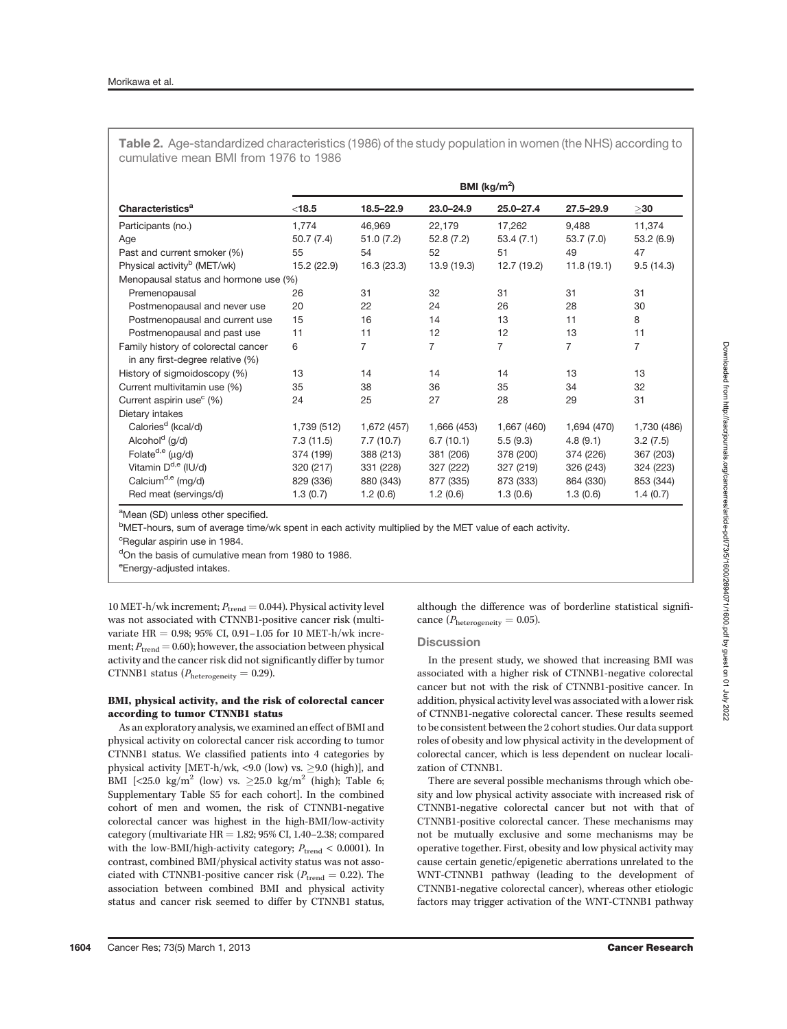Table 2. Age-standardized characteristics (1986) of the study population in women (the NHS) according to cumulative mean BMI from 1976 to 1986

|                                         |             |             |                | BMI (kg/m <sup>2</sup> ) |                |             |
|-----------------------------------------|-------------|-------------|----------------|--------------------------|----------------|-------------|
| Characteristics <sup>a</sup>            | < 18.5      | 18.5-22.9   | $23.0 - 24.9$  | $25.0 - 27.4$            | $27.5 - 29.9$  | $>$ 30      |
| Participants (no.)                      | 1,774       | 46,969      | 22,179         | 17,262                   | 9,488          | 11,374      |
| Age                                     | 50.7(7.4)   | 51.0(7.2)   | 52.8(7.2)      | 53.4(7.1)                | 53.7 (7.0)     | 53.2 (6.9)  |
| Past and current smoker (%)             | 55          | 54          | 52             | 51                       | 49             | 47          |
| Physical activity <sup>b</sup> (MET/wk) | 15.2 (22.9) | 16.3 (23.3) | 13.9 (19.3)    | 12.7 (19.2)              | 11.8(19.1)     | 9.5(14.3)   |
| Menopausal status and hormone use (%)   |             |             |                |                          |                |             |
| Premenopausal                           | 26          | 31          | 32             | 31                       | 31             | 31          |
| Postmenopausal and never use            | 20          | 22          | 24             | 26                       | 28             | 30          |
| Postmenopausal and current use          | 15          | 16          | 14             | 13                       | 11             | 8           |
| Postmenopausal and past use             | 11          | 11          | 12             | 12                       | 13             | 11          |
| Family history of colorectal cancer     | 6           | 7           | $\overline{7}$ | 7                        | $\overline{7}$ | 7           |
| in any first-degree relative (%)        |             |             |                |                          |                |             |
| History of sigmoidoscopy (%)            | 13          | 14          | 14             | 14                       | 13             | 13          |
| Current multivitamin use (%)            | 35          | 38          | 36             | 35                       | 34             | 32          |
| Current aspirin use $\epsilon$ (%)      | 24          | 25          | 27             | 28                       | 29             | 31          |
| Dietary intakes                         |             |             |                |                          |                |             |
| Calories <sup>d</sup> (kcal/d)          | 1,739 (512) | 1,672 (457) | 1,666 (453)    | 1,667 (460)              | 1,694 (470)    | 1,730 (486) |
| Alcohol <sup>d</sup> ( $g/d$ )          | 7.3(11.5)   | 7.7(10.7)   | 6.7(10.1)      | 5.5(9.3)                 | 4.8(9.1)       | 3.2(7.5)    |
| Folate <sup>d,e</sup> (µg/d)            | 374 (199)   | 388 (213)   | 381 (206)      | 378 (200)                | 374 (226)      | 367 (203)   |
| Vitamin D <sup>d,e</sup> (IU/d)         | 320 (217)   | 331 (228)   | 327 (222)      | 327 (219)                | 326 (243)      | 324 (223)   |
| Calcium <sup>d,e</sup> (mg/d)           | 829 (336)   | 880 (343)   | 877 (335)      | 873 (333)                | 864 (330)      | 853 (344)   |
| Red meat (servings/d)                   | 1.3(0.7)    | 1.2(0.6)    | 1.2(0.6)       | 1.3(0.6)                 | 1.3(0.6)       | 1.4(0.7)    |

<sup>a</sup>Mean (SD) unless other specified.

<sup>b</sup>MET-hours, sum of average time/wk spent in each activity multiplied by the MET value of each activity.

<sup>c</sup>Regular aspirin use in 1984.

dOn the basis of cumulative mean from 1980 to 1986.

<sup>e</sup>Energy-adjusted intakes.

10 MET-h/wk increment;  $P_{\text{trend}} = 0.044$ ). Physical activity level was not associated with CTNNB1-positive cancer risk (multivariate HR =  $0.98$ ; 95% CI, 0.91-1.05 for 10 MET-h/wk increment;  $P_{\text{trend}} = 0.60$ ); however, the association between physical activity and the cancer risk did not significantly differ by tumor CTNNB1 status ( $P_{\text{heterogeneity}} = 0.29$ ).

# BMI, physical activity, and the risk of colorectal cancer according to tumor CTNNB1 status

As an exploratory analysis, we examined an effect of BMI and physical activity on colorectal cancer risk according to tumor CTNNB1 status. We classified patients into 4 categories by physical activity [MET-h/wk, <9.0 (low) vs.  $\geq$ 9.0 (high)], and BMI [<25.0 kg/m<sup>2</sup> (low) vs.  $\geq$ 25.0 kg/m<sup>2</sup> (high); Table 6; Supplementary Table S5 for each cohort]. In the combined cohort of men and women, the risk of CTNNB1-negative colorectal cancer was highest in the high-BMI/low-activity category (multivariate  $HR = 1.82$ ; 95% CI, 1.40–2.38; compared with the low-BMI/high-activity category;  $P_{\text{trend}} < 0.0001$ ). In contrast, combined BMI/physical activity status was not associated with CTNNB1-positive cancer risk ( $P_{\text{trend}} = 0.22$ ). The association between combined BMI and physical activity status and cancer risk seemed to differ by CTNNB1 status,

although the difference was of borderline statistical significance ( $P_{\text{heterogeneity}} = 0.05$ ).

# **Discussion**

In the present study, we showed that increasing BMI was associated with a higher risk of CTNNB1-negative colorectal cancer but not with the risk of CTNNB1-positive cancer. In addition, physical activity level was associated with a lower risk of CTNNB1-negative colorectal cancer. These results seemed to be consistent between the 2 cohort studies. Our data support roles of obesity and low physical activity in the development of colorectal cancer, which is less dependent on nuclear localization of CTNNB1.

There are several possible mechanisms through which obesity and low physical activity associate with increased risk of CTNNB1-negative colorectal cancer but not with that of CTNNB1-positive colorectal cancer. These mechanisms may not be mutually exclusive and some mechanisms may be operative together. First, obesity and low physical activity may cause certain genetic/epigenetic aberrations unrelated to the WNT-CTNNB1 pathway (leading to the development of CTNNB1-negative colorectal cancer), whereas other etiologic factors may trigger activation of the WNT-CTNNB1 pathway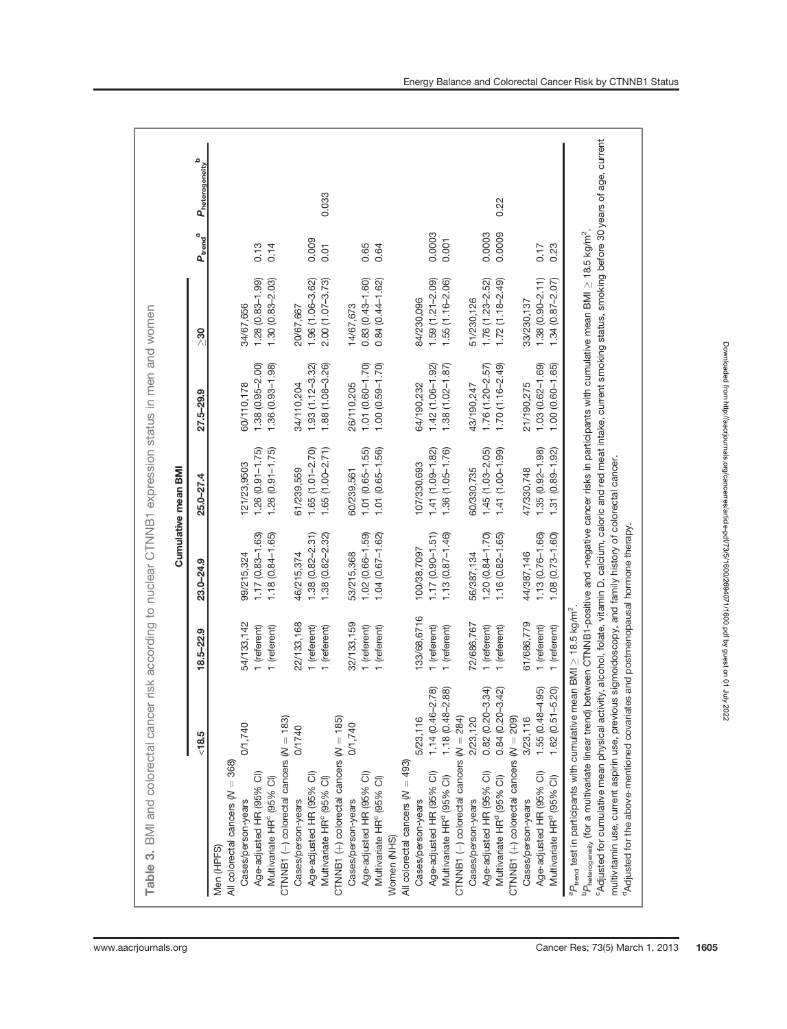| Table 3. BMI and colorectal cancer risk according to nuclear CTNNB1 expression status in men and women                                                                                                                                                                                                                                                                                                                                                                                                                                                                                                |                     |               |                                 | Cumulative mean BMI |                     |                     |                      |                     |
|-------------------------------------------------------------------------------------------------------------------------------------------------------------------------------------------------------------------------------------------------------------------------------------------------------------------------------------------------------------------------------------------------------------------------------------------------------------------------------------------------------------------------------------------------------------------------------------------------------|---------------------|---------------|---------------------------------|---------------------|---------------------|---------------------|----------------------|---------------------|
|                                                                                                                                                                                                                                                                                                                                                                                                                                                                                                                                                                                                       | $18.5$              | $18.5 - 22.9$ | 23.0-24.9                       | 25.0-27.4           | 27.5-29.9           | <u>8</u>            | P <sub>trend</sub> a | ء<br>Pheterogeneity |
| Men (HPFS)                                                                                                                                                                                                                                                                                                                                                                                                                                                                                                                                                                                            |                     |               |                                 |                     |                     |                     |                      |                     |
| All colorectal cancers $(N = 368)$                                                                                                                                                                                                                                                                                                                                                                                                                                                                                                                                                                    |                     |               |                                 |                     |                     |                     |                      |                     |
| Cases/person-years                                                                                                                                                                                                                                                                                                                                                                                                                                                                                                                                                                                    | 0/1,740             | 54/133,142    | 99/215,324                      | 21/23,9503          | 30/110.178          | 34/67,656           |                      |                     |
| Age-adjusted HR (95% Cl)                                                                                                                                                                                                                                                                                                                                                                                                                                                                                                                                                                              |                     | 1 (referent)  | $1.17(0.83 - 1.63)$             | $1.26(0.91 - 1.75)$ | $1.38(0.95 - 2.00)$ | $1.28(0.83 - 1.99)$ | 0.13                 |                     |
| Multivariate HR° (95% Cl)                                                                                                                                                                                                                                                                                                                                                                                                                                                                                                                                                                             |                     | 1 (referent)  | 1.18 (0.84-1.65)                | $1.26(0.91 - 1.75)$ | $1.36(0.93 - 1.98)$ | $1.30(0.83 - 2.03)$ | 0.14                 |                     |
| $CTNNB1$ (-) colorectal cancers ( $N = 183$ )                                                                                                                                                                                                                                                                                                                                                                                                                                                                                                                                                         |                     |               |                                 |                     |                     |                     |                      |                     |
| Cases/person-years                                                                                                                                                                                                                                                                                                                                                                                                                                                                                                                                                                                    | 0/1740              | 22/133,168    | 46/215,374                      | 61/239,559          | 34/110,204          | 20/67,667           |                      |                     |
| Age-adjusted HR (95% CI)                                                                                                                                                                                                                                                                                                                                                                                                                                                                                                                                                                              |                     | 1 (referent)  | $1.38(0.82 - 2.31)$             | $1.65(1.01 - 2.70)$ | $1.93(1.12 - 3.32)$ | $1.96(1.06 - 3.62)$ | 0.009                |                     |
| Multivariate HR° (95% Cl)                                                                                                                                                                                                                                                                                                                                                                                                                                                                                                                                                                             |                     | 1 (referent)  | $1.38(0.82 - 2.32)$             | $1.65(1.00 - 2.71)$ | 1.88 (1.08-3.26)    | $2.00(1.07 - 3.73)$ | 0.01                 | 0.033               |
| CTNNB1 $(+)$ colorectal cancers $(N = 185)$                                                                                                                                                                                                                                                                                                                                                                                                                                                                                                                                                           |                     |               |                                 |                     |                     |                     |                      |                     |
| Cases/person-years                                                                                                                                                                                                                                                                                                                                                                                                                                                                                                                                                                                    | 0/1,740             | 32/133,159    | 53/215,368                      | 60/239,561          | 26/110,205          | 14/67.673           |                      |                     |
| Age-adjusted HR (95% Cl)                                                                                                                                                                                                                                                                                                                                                                                                                                                                                                                                                                              |                     | 1 (referent)  | 1.02 (0.66-1.59)                | $1.01(0.65 - 1.55)$ | 1.01 (0.60-1.70)    | $0.83(0.43 - 1.60)$ | 0.65                 |                     |
| Multivariate HR <sup>c</sup> (95% CI)                                                                                                                                                                                                                                                                                                                                                                                                                                                                                                                                                                 |                     | 1 (referent)  | $1.04(0.67 - 1.62)$             | 1.01 (0.65-1.56)    | $1.00(0.59 - 1.70)$ | $0.84(0.44 - 1.62)$ | 0.64                 |                     |
| Women (NHS)                                                                                                                                                                                                                                                                                                                                                                                                                                                                                                                                                                                           |                     |               |                                 |                     |                     |                     |                      |                     |
| All colorectal cancers ( $N = 493$ )                                                                                                                                                                                                                                                                                                                                                                                                                                                                                                                                                                  |                     |               |                                 |                     |                     |                     |                      |                     |
| Cases/person-years                                                                                                                                                                                                                                                                                                                                                                                                                                                                                                                                                                                    | 5/23,116            | 133/68,6716   | 100/38,7097                     | 107/330,693         | 64/190,232          | 84/230.096          |                      |                     |
| Age-adjusted HR (95% Cl)                                                                                                                                                                                                                                                                                                                                                                                                                                                                                                                                                                              | $1.14(0.46 - 2.78)$ | 1 (referent)  | $1.17(0.90 - 1.51)$             | $1.41(1.09 - 1.82)$ | $1.42(1.06 - 1.92)$ | $1.59(1.21 - 2.09)$ | 0.0003               |                     |
| Multivariate HR <sup>d</sup> (95% CI)                                                                                                                                                                                                                                                                                                                                                                                                                                                                                                                                                                 | $1.18(0.48 - 2.88)$ | 1 (referent)  | $1.13(0.87 - 1.46)$             | $1.36(1.05 - 1.76)$ | $1.38(1.02 - 1.87)$ | $1.55(1.16 - 2.06)$ | 0.001                |                     |
| CTNNB1 $(-)$ colorectal cancers $(N = 284)$                                                                                                                                                                                                                                                                                                                                                                                                                                                                                                                                                           |                     |               |                                 |                     |                     |                     |                      |                     |
| Cases/person-years                                                                                                                                                                                                                                                                                                                                                                                                                                                                                                                                                                                    | 2/23,120            | 72/686,767    | 56/387,134                      | 60/330,735          | 43/190,247          | 51/230,126          |                      |                     |
| Age-adjusted HR (95% CI)                                                                                                                                                                                                                                                                                                                                                                                                                                                                                                                                                                              | $0.82(0.20 - 3.34)$ | 1 (referent)  | $1.20(0.84 - 1.70)$             | 1.45 (1.03-2.05)    | $1.76(1.20 - 2.57)$ | $1.76(1.23 - 2.52)$ | 0.0003               |                     |
| Multivariate HR <sup>d</sup> (95% CI)                                                                                                                                                                                                                                                                                                                                                                                                                                                                                                                                                                 | $0.84(0.20 - 3.42)$ | 1 (referent)  | $1.16(0.82 - 1.65)$             | $1.41(1.00 - 1.99)$ | $1.70(1.16 - 2.49)$ | $1.72(1.18 - 2.49)$ | 0.0009               | 0.22                |
| $CTNNB1$ (+) colorectal cancers ( $N = 209$ )                                                                                                                                                                                                                                                                                                                                                                                                                                                                                                                                                         |                     |               |                                 |                     |                     |                     |                      |                     |
| Cases/person-years                                                                                                                                                                                                                                                                                                                                                                                                                                                                                                                                                                                    | 3/23,116            | 61/686,779    | 44/387,146                      | 47/330,748          | 21/190,275          | 33/230,137          |                      |                     |
| Age-adjusted HR (95% CI)                                                                                                                                                                                                                                                                                                                                                                                                                                                                                                                                                                              | $1.55(0.48 - 4.95)$ | 1 (referent)  | $1.13(0.76 - 1.66)$             | $1.35(0.92 - 1.98)$ | 1.03 (0.62-1.69)    | $1.38(0.90 - 2.11)$ | 0.17                 |                     |
| Multivariate HR <sup>d</sup> (95% CI)                                                                                                                                                                                                                                                                                                                                                                                                                                                                                                                                                                 | $1.62(0.51 - 5.20)$ | 1 (referent)  | $(0.73 - 1.60)$<br>1.08         | 1.31 (0.89-1.92)    | $1.00(0.60 - 1.65)$ | $1.34(0.87 - 2.07)$ | 0.23                 |                     |
| "Adjusted for cumulative mean physical activity, alcohol, folate, vitamin D, calcium, caloric and red meat intake, current smoking status, smoking before 30 years of age, current<br>$P_{\text{heterogeneity}}$ (for a multivariate linear trend) between CTNNB1-positive and -negative cancer risks in participants with cumulative mean BMI $\geq$ 18.5 kg/m <sup>2</sup> .<br>multivitamin use, current aspirin use, previous sigmoidoscopy, and family history of colorectal cancer.<br>${}^{3}\!P_{\text{trend}}$ test in participants with cumulative mean BMI $\geq$ 18.5 kg/m <sup>2</sup> . |                     |               |                                 |                     |                     |                     |                      |                     |
| <sup>3</sup> Adjusted for the above-mentioned covariates and                                                                                                                                                                                                                                                                                                                                                                                                                                                                                                                                          |                     |               | postmenopausal hormone therapy. |                     |                     |                     |                      |                     |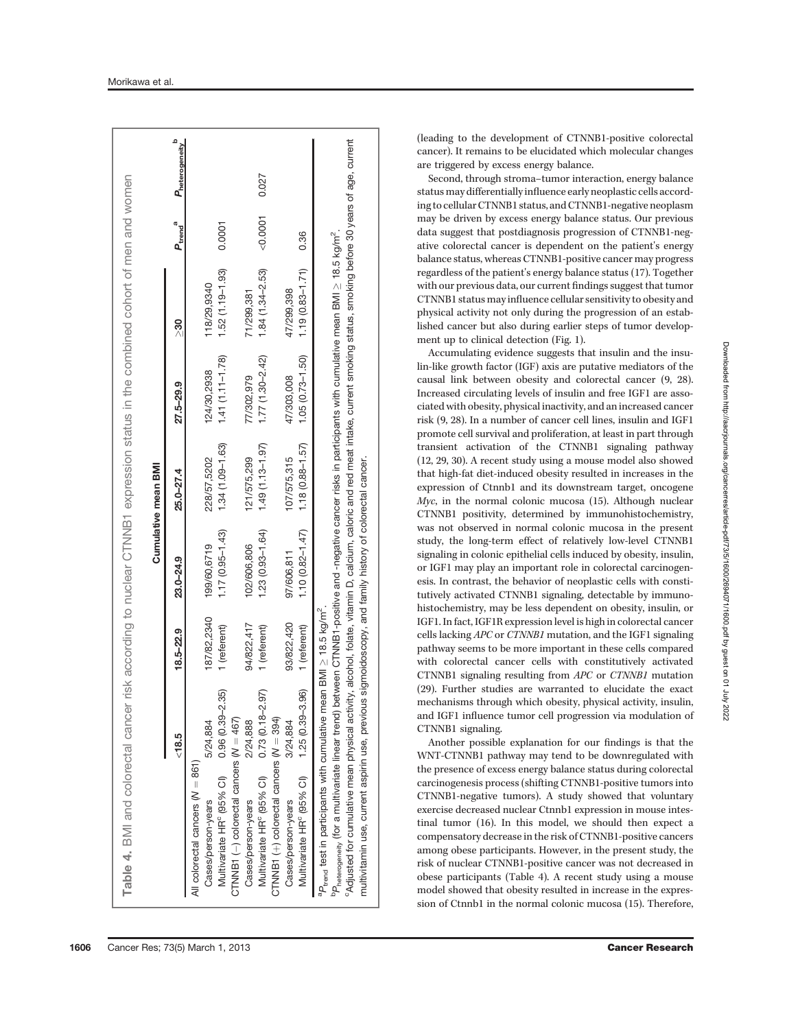| Table 4. BMI and colorectal cancer risk                                                                                                                                                                                                                                                                                                                                                                                                                                                                                                                                                          |                     |               |                     | Cumulative mean BMI | according to nuclear CTNNB1 expression status in the combined cohort of men and women |                     |                               |                            |
|--------------------------------------------------------------------------------------------------------------------------------------------------------------------------------------------------------------------------------------------------------------------------------------------------------------------------------------------------------------------------------------------------------------------------------------------------------------------------------------------------------------------------------------------------------------------------------------------------|---------------------|---------------|---------------------|---------------------|---------------------------------------------------------------------------------------|---------------------|-------------------------------|----------------------------|
|                                                                                                                                                                                                                                                                                                                                                                                                                                                                                                                                                                                                  | $<$ 18.5            | $18.5 - 22.9$ | $23.0 - 24.9$       | 25.0-27.4           | 27.5-29.9                                                                             | $\frac{8}{2}$       | $P_{\text{trend}}^{\qquad a}$ | P <sub>heterogeneity</sub> |
| All colorectal cancers $(N = 861)$                                                                                                                                                                                                                                                                                                                                                                                                                                                                                                                                                               |                     |               |                     |                     |                                                                                       |                     |                               |                            |
| Cases/person-years                                                                                                                                                                                                                                                                                                                                                                                                                                                                                                                                                                               | 5/24,884            | 187/82.2340   | 199/60,6719         | 228/57.5202         | 124/30.2938                                                                           | 118/29,9340         |                               |                            |
| Multivariate HR° (95% Cl)                                                                                                                                                                                                                                                                                                                                                                                                                                                                                                                                                                        | $0.96(0.39 - 2.35)$ | 1 (referent)  | $1.17(0.95 - 1.43)$ | $1.34(1.09 - 1.63)$ | $1.41(1.11 - 1.78)$                                                                   | $1.52(1.19 - 1.93)$ | 0.0001                        |                            |
| CTNNB1 (-) colorectal cancers $(N = 467)$                                                                                                                                                                                                                                                                                                                                                                                                                                                                                                                                                        |                     |               |                     |                     |                                                                                       |                     |                               |                            |
| Cases/person-years                                                                                                                                                                                                                                                                                                                                                                                                                                                                                                                                                                               | 2/24,888            | 94/822.417    | 102/606.806         | 21/575,299          | 77/302,979                                                                            | 71/299,381          |                               |                            |
| Multivariate HR° (95% CI)                                                                                                                                                                                                                                                                                                                                                                                                                                                                                                                                                                        | $0.73(0.18 - 2.97)$ | 1 (referent)  | $1.23(0.93 - 1.64)$ | $1.49(1.13 - 1.97)$ | $1.77(1.30 - 2.42)$                                                                   | 1.84 (1.34-2.53)    | &0.0001                       | 0.027                      |
| $CTNNB1$ (+) colorectal cancers $(N = 394)$                                                                                                                                                                                                                                                                                                                                                                                                                                                                                                                                                      |                     |               |                     |                     |                                                                                       |                     |                               |                            |
| Cases/person-years                                                                                                                                                                                                                                                                                                                                                                                                                                                                                                                                                                               | 3/24,884            | 93/822,420    | 97/606,811          | 107/575,315         | 47/303,008                                                                            | 47/299,398          |                               |                            |
| Multivariate HR° (95% Cl)                                                                                                                                                                                                                                                                                                                                                                                                                                                                                                                                                                        | $1.25(0.39 - 3.96)$ | 1 (referent)  | $1.10(0.82 - 1.47)$ | $1.18(0.88 - 1.57)$ | $1.05(0.73 - 1.50)$                                                                   | $1.19(0.83 - 1.71)$ | 0.36                          |                            |
| "Adjusted for cumulative mean physical activity, alcohol, folate, vitamin D, calcium, calciuc and red meat intake, current smoking status, smoking before 30 years of age, current<br>$P_{\text{neemogener}}$ (for a multivariate linear trend) between CTNNB1-positive and -negative cancer risks in participants with cumulative mean BMI $\geq$ 18.5 kg/m <sup>2</sup> .<br>multivitamin use, current aspirin use, previous sigmoidoscopy, and family history of colorectal cancer.<br>${}^{3}P_{\text{trend}}$ test in participants with cumulative mean BMI $\geq$ 18.5 kg/m <sup>2</sup> . |                     |               |                     |                     |                                                                                       |                     |                               |                            |

(leading to the development of CTNNB1-positive colorectal cancer). It remains to be elucidated which molecular changes are triggered by excess energy balance.

Second, through stroma–tumor interaction, energy balance status may differentially influence early neoplastic cells according to cellular CTNNB1 status, and CTNNB1-negative neoplasm may be driven by excess energy balance status. Our previous data suggest that postdiagnosis progression of CTNNB1-negative colorectal cancer is dependent on the patient's energy balance status, whereas CTNNB1-positive cancer may progress regardless of the patient's energy balance status (17). Together with our previous data, our current findings suggest that tumor CTNNB1 status may influence cellular sensitivity to obesity and physical activity not only during the progression of an established cancer but also during earlier steps of tumor development up to clinical detection (Fig. 1).

Accumulating evidence suggests that insulin and the insulin-like growth factor (IGF) axis are putative mediators of the causal link between obesity and colorectal cancer (9, 28). Increased circulating levels of insulin and free IGF1 are associated with obesity, physical inactivity, and an increased cancer risk (9, 28). In a number of cancer cell lines, insulin and IGF1 promote cell survival and proliferation, at least in part through transient activation of the CTNNB1 signaling pathway (12, 29, 30). A recent study using a mouse model also showed that high-fat diet-induced obesity resulted in increases in the expression of Ctnnb1 and its downstream target, oncogene  $Myc$ , in the normal colonic mucosa (15). Although nuclear CTNNB1 positivity, determined by immunohistochemistry, was not observed in normal colonic mucosa in the present study, the long-term effect of relatively low-level CTNNB1 signaling in colonic epithelial cells induced by obesity, insulin, or IGF1 may play an important role in colorectal carcinogenesis. In contrast, the behavior of neoplastic cells with constitutively activated CTNNB1 signaling, detectable by immunohistochemistry, may be less dependent on obesity, insulin, or IGF1. In fact, IGF1R expression level is high in colorectal cancer cells lacking APC or CTNNB1 mutation, and the IGF1 signaling pathway seems to be more important in these cells compared with colorectal cancer cells with constitutively activated CTNNB1 signaling resulting from APC or CTNNB1 mutation (29). Further studies are warranted to elucidate the exact mechanisms through which obesity, physical activity, insulin, and IGF1 influence tumor cell progression via modulation of CTNNB1 signaling.

Another possible explanation for our findings is that the WNT-CTNNB1 pathway may tend to be downregulated with the presence of excess energy balance status during colorectal carcinogenesis process (shifting CTNNB1-positive tumors into CTNNB1-negative tumors). A study showed that voluntary exercise decreased nuclear Ctnnb1 expression in mouse intestinal tumor (16). In this model, we should then expect a compensatory decrease in the risk of CTNNB1-positive cancers among obese participants. However, in the present study, the risk of nuclear CTNNB1-positive cancer was not decreased in obese participants (Table 4). A recent study using a mouse model showed that obesity resulted in increase in the expression of Ctnnb1 in the normal colonic mucosa (15). Therefore,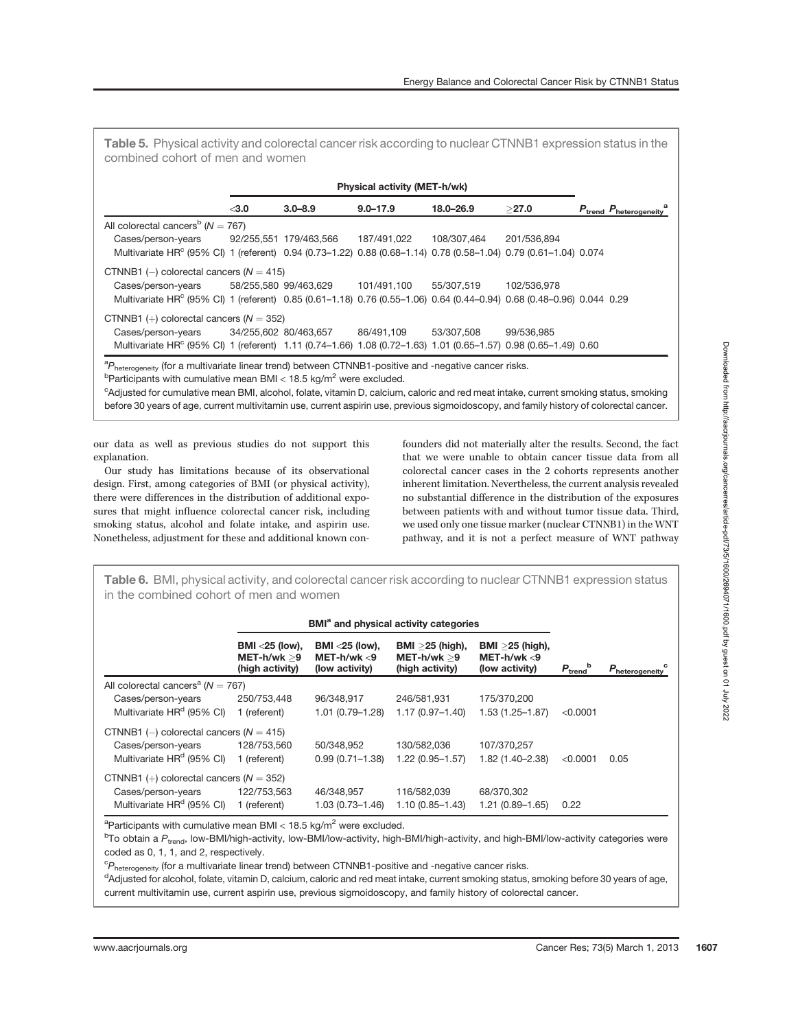Table 5. Physical activity and colorectal cancer risk according to nuclear CTNNB1 expression status in the combined cohort of men and women

|                                                                                                                                                  |       |             | Physical activity (MET-h/wk) |             |             |                                             |
|--------------------------------------------------------------------------------------------------------------------------------------------------|-------|-------------|------------------------------|-------------|-------------|---------------------------------------------|
|                                                                                                                                                  | $3.0$ | $3.0 - 8.9$ | $9.0 - 17.9$                 | 18.0-26.9   | $>$ 27.0    | $P_{\text{trend}} P_{\text{heterogeneity}}$ |
| All colorectal cancers <sup>b</sup> ( $N = 767$ )                                                                                                |       |             |                              |             |             |                                             |
| Cases/person-years 92/255,551 179/463,566                                                                                                        |       |             | 187/491,022                  | 108/307,464 | 201/536.894 |                                             |
| Multivariate HR <sup>c</sup> (95% Cl) 1 (referent) 0.94 (0.73–1.22) 0.88 (0.68–1.14) 0.78 (0.58–1.04) 0.79 (0.61–1.04) 0.074                     |       |             |                              |             |             |                                             |
| CTNNB1 (-) colorectal cancers ( $N = 415$ )                                                                                                      |       |             |                              |             |             |                                             |
| Cases/person-years  58/255,580 99/463,629  101/491,100  55/307,519                                                                               |       |             |                              |             | 102/536,978 |                                             |
| Multivariate HR <sup>c</sup> (95% CI) 1 (referent) 0.85 (0.61-1.18) 0.76 (0.55-1.06) 0.64 (0.44-0.94) 0.68 (0.48-0.96) 0.044 0.29                |       |             |                              |             |             |                                             |
| CTNNB1 $(+)$ colorectal cancers $(N = 352)$                                                                                                      |       |             |                              |             |             |                                             |
| Cases/person-years 34/255,602 80/463,657                                                                                                         |       |             | 86/491,109                   | 53/307,508  | 99/536,985  |                                             |
| Multivariate HR <sup>c</sup> (95% Cl) 1 (referent) 1.11 (0.74-1.66) 1.08 (0.72-1.63) 1.01 (0.65-1.57) 0.98 (0.65-1.49) 0.60                      |       |             |                              |             |             |                                             |
| <sup>a</sup> P <sub>heterogeneity</sub> (for a multivariate linear trend) between CTNNB1-positive and -negative cancer risks.                    |       |             |                              |             |             |                                             |
| <sup>b</sup> Participants with cumulative mean BMI < $18.5 \text{ kg/m}^2$ were excluded.                                                        |       |             |                              |             |             |                                             |
| <sup>c</sup> Adjusted for cumulative mean BMI, alcohol, folate, vitamin D, calcium, caloric and red meat intake, current smoking status, smoking |       |             |                              |             |             |                                             |

before 30 years of age, current multivitamin use, current aspirin use, previous sigmoidoscopy, and family history of colorectal cancer.

our data as well as previous studies do not support this explanation.

Our study has limitations because of its observational design. First, among categories of BMI (or physical activity), there were differences in the distribution of additional exposures that might influence colorectal cancer risk, including smoking status, alcohol and folate intake, and aspirin use. Nonetheless, adjustment for these and additional known confounders did not materially alter the results. Second, the fact that we were unable to obtain cancer tissue data from all colorectal cancer cases in the 2 cohorts represents another inherent limitation. Nevertheless, the current analysis revealed no substantial difference in the distribution of the exposures between patients with and without tumor tissue data. Third, we used only one tissue marker (nuclear CTNNB1) in the WNT pathway, and it is not a perfect measure of WNT pathway

Table 6. BMI, physical activity, and colorectal cancer risk according to nuclear CTNNB1 expression status in the combined cohort of men and women

|                                                   |                                                       |                                                       | BMI <sup>a</sup> and physical activity categories      |                                                        |                               |                |
|---------------------------------------------------|-------------------------------------------------------|-------------------------------------------------------|--------------------------------------------------------|--------------------------------------------------------|-------------------------------|----------------|
|                                                   | BMI $<$ 25 (low),<br>MET-h/wk $>9$<br>(high activity) | BMI $<$ 25 (low),<br>MET-h/wk $<$ 9<br>(low activity) | $BMI > 25$ (high),<br>MET-h/wk $>9$<br>(high activity) | $BMI > 25$ (high),<br>MET-h/wk $<$ 9<br>(low activity) | $P_{\text{trend}}^{\text{p}}$ | Pheterogeneity |
| All colorectal cancers <sup>a</sup> ( $N = 767$ ) |                                                       |                                                       |                                                        |                                                        |                               |                |
| Cases/person-years                                | 250/753.448                                           | 96/348.917                                            | 246/581.931                                            | 175/370,200                                            |                               |                |
| Multivariate HR <sup>d</sup> (95% CI)             | 1 (referent)                                          | $1.01(0.79 - 1.28)$                                   | $1.17(0.97 - 1.40)$                                    | $1.53(1.25 - 1.87)$                                    | < 0.0001                      |                |
| CTNNB1 (-) colorectal cancers ( $N = 415$ )       |                                                       |                                                       |                                                        |                                                        |                               |                |
| Cases/person-years                                | 128/753.560                                           | 50/348.952                                            | 130/582.036                                            | 107/370,257                                            |                               |                |
| Multivariate HR <sup>d</sup> (95% CI)             | 1 (referent)                                          | $0.99(0.71 - 1.38)$                                   | $1.22(0.95 - 1.57)$                                    | 1.82 (1.40-2.38)                                       | $<$ 0.0001                    | 0.05           |
| CTNNB1 $(+)$ colorectal cancers $(N = 352)$       |                                                       |                                                       |                                                        |                                                        |                               |                |
| Cases/person-years                                | 122/753,563                                           | 46/348.957                                            | 116/582.039                                            | 68/370.302                                             |                               |                |
| Multivariate HR <sup>d</sup> (95% CI)             | 1 (referent)                                          | $1.03(0.73 - 1.46)$                                   | $1.10(0.85 - 1.43)$                                    | $1.21(0.89 - 1.65)$                                    | 0.22                          |                |

<sup>a</sup>Participants with cumulative mean BMI < 18.5 kg/m<sup>2</sup> were excluded.

 $^{\rm b}$ To obtain a  $P_{\rm trend}$ , low-BMI/high-activity, low-BMI/low-activity, high-BMI/high-activity, and high-BMI/low-activity categories were coded as 0, 1, 1, and 2, respectively.

<sup>c</sup>P<sub>heterogeneity</sub> (for a multivariate linear trend) between CTNNB1-positive and -negative cancer risks.

<sup>d</sup>Adjusted for alcohol, folate, vitamin D, calcium, caloric and red meat intake, current smoking status, smoking before 30 years of age, current multivitamin use, current aspirin use, previous sigmoidoscopy, and family history of colorectal cancer.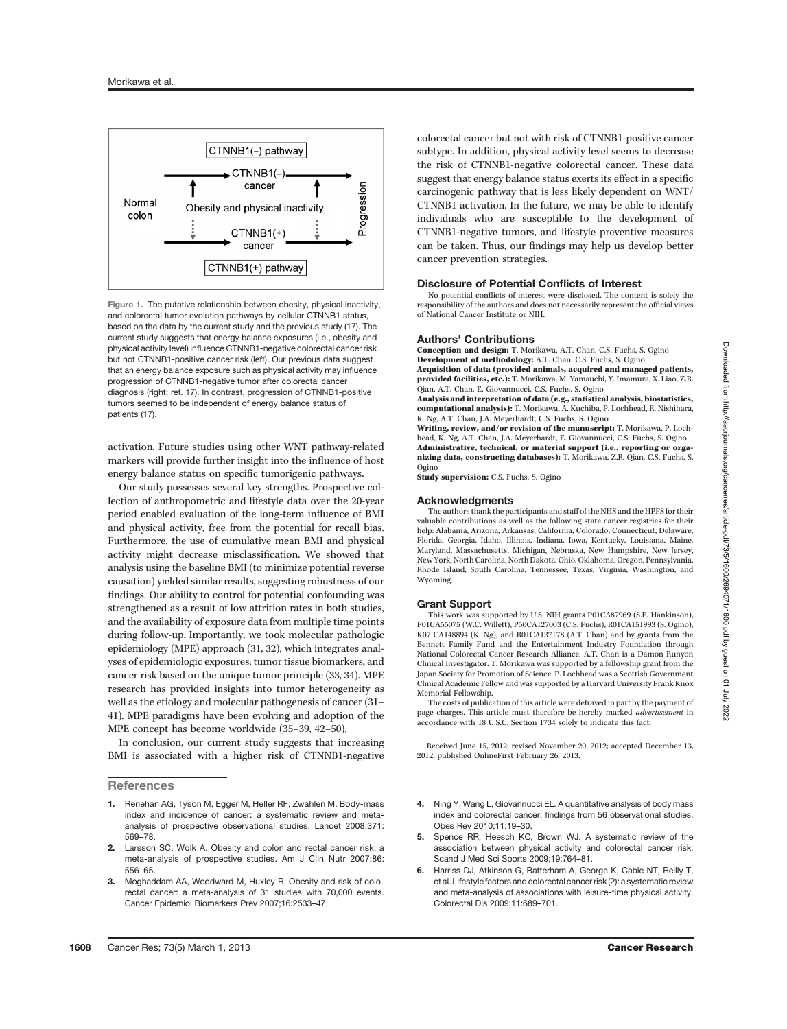

Figure 1. The putative relationship between obesity, physical inactivity, and colorectal tumor evolution pathways by cellular CTNNB1 status, based on the data by the current study and the previous study (17). The current study suggests that energy balance exposures (i.e., obesity and physical activity level) influence CTNNB1-negative colorectal cancer risk but not CTNNB1-positive cancer risk (left). Our previous data suggest that an energy balance exposure such as physical activity may influence progression of CTNNB1-negative tumor after colorectal cancer diagnosis (right; ref. 17). In contrast, progression of CTNNB1-positive tumors seemed to be independent of energy balance status of patients (17).

activation. Future studies using other WNT pathway-related markers will provide further insight into the influence of host energy balance status on specific tumorigenic pathways.

Our study possesses several key strengths. Prospective collection of anthropometric and lifestyle data over the 20-year period enabled evaluation of the long-term influence of BMI and physical activity, free from the potential for recall bias. Furthermore, the use of cumulative mean BMI and physical activity might decrease misclassification. We showed that analysis using the baseline BMI (to minimize potential reverse causation) yielded similar results, suggesting robustness of our findings. Our ability to control for potential confounding was strengthened as a result of low attrition rates in both studies, and the availability of exposure data from multiple time points during follow-up. Importantly, we took molecular pathologic epidemiology (MPE) approach (31, 32), which integrates analyses of epidemiologic exposures, tumor tissue biomarkers, and cancer risk based on the unique tumor principle (33, 34). MPE research has provided insights into tumor heterogeneity as well as the etiology and molecular pathogenesis of cancer (31– 41). MPE paradigms have been evolving and adoption of the MPE concept has become worldwide (35–39, 42–50).

In conclusion, our current study suggests that increasing BMI is associated with a higher risk of CTNNB1-negative

#### **References**

- 1. Renehan AG, Tyson M, Egger M, Heller RF, Zwahlen M. Body-mass index and incidence of cancer: a systematic review and metaanalysis of prospective observational studies. Lancet 2008;371: 569–78.
- 2. Larsson SC, Wolk A. Obesity and colon and rectal cancer risk: a meta-analysis of prospective studies. Am J Clin Nutr 2007;86: 556–65.
- 3. Moghaddam AA, Woodward M, Huxley R. Obesity and risk of colorectal cancer: a meta-analysis of 31 studies with 70,000 events. Cancer Epidemiol Biomarkers Prev 2007;16:2533–47.

colorectal cancer but not with risk of CTNNB1-positive cancer subtype. In addition, physical activity level seems to decrease the risk of CTNNB1-negative colorectal cancer. These data suggest that energy balance status exerts its effect in a specific carcinogenic pathway that is less likely dependent on WNT/ CTNNB1 activation. In the future, we may be able to identify individuals who are susceptible to the development of CTNNB1-negative tumors, and lifestyle preventive measures can be taken. Thus, our findings may help us develop better cancer prevention strategies.

#### Disclosure of Potential Conflicts of Interest

No potential conflicts of interest were disclosed. The content is solely the responsibility of the authors and does not necessarily represent the official views of National Cancer Institute or NIH.

#### Authors' Contributions

Conception and design: T. Morikawa, A.T. Chan, C.S. Fuchs, S. Ogino Development of methodology: A.T. Chan, C.S. Fuchs, S. Ogino Acquisition of data (provided animals, acquired and managed patients, provided facilities, etc.): T. Morikawa, M. Yamauchi, Y. Imamura, X. Liao, Z.R. Qian, A.T. Chan, E. Giovannucci, C.S. Fuchs, S. Ogino

Analysis and interpretation of data (e.g., statistical analysis, biostatistics, computational analysis): T. Morikawa, A. Kuchiba, P. Lochhead, R. Nishihara, K. Ng, A.T. Chan, J.A. Meyerhardt, C.S. Fuchs, S. Ogino

Writing, review, and/or revision of the manuscript: T. Morikawa, P. Lochhead, K. Ng, A.T. Chan, J.A. Meyerhardt, E. Giovannucci, C.S. Fuchs, S. Ogino Administrative, technical, or material support (i.e., reporting or organizing data, constructing databases): T. Morikawa, Z.R. Qian, C.S. Fuchs, S. Ogino

Study supervision: C.S. Fuchs, S. Ogino

#### Acknowledgments

The authors thank the participants and staff of the NHS and the HPFS for their valuable contributions as well as the following state cancer registries for their help: Alabama, Arizona, Arkansas, California, Colorado, Connecticut, Delaware, Florida, Georgia, Idaho, Illinois, Indiana, Iowa, Kentucky, Louisiana, Maine, Maryland, Massachusetts, Michigan, Nebraska, New Hampshire, New Jersey, New York, North Carolina, North Dakota, Ohio, Oklahoma, Oregon, Pennsylvania, Rhode Island, South Carolina, Tennessee, Texas, Virginia, Washington, and Wyoming.

# Grant Support

This work was supported by U.S. NIH grants P01CA87969 (S.E. Hankinson), P01CA55075 (W.C. Willett), P50CA127003 (C.S. Fuchs), R01CA151993 (S. Ogino), K07 CA148894 (K. Ng), and R01CA137178 (A.T. Chan) and by grants from the Bennett Family Fund and the Entertainment Industry Foundation through National Colorectal Cancer Research Alliance. A.T. Chan is a Damon Runyon Clinical Investigator. T. Morikawa was supported by a fellowship grant from the Japan Society for Promotion of Science. P. Lochhead was a Scottish Government Clinical Academic Fellow and was supported by a Harvard University Frank Knox Memorial Fellowship.

The costs of publication of this article were defrayed in part by the payment of page charges. This article must therefore be hereby marked advertisement in accordance with 18 U.S.C. Section 1734 solely to indicate this fact.

Received June 15, 2012; revised November 20, 2012; accepted December 13, 2012; published OnlineFirst February 26, 2013.

- 4. Ning Y, Wang L, Giovannucci EL. A quantitative analysis of body mass index and colorectal cancer: findings from 56 observational studies. Obes Rev 2010;11:19–30.
- 5. Spence RR, Heesch KC, Brown WJ. A systematic review of the association between physical activity and colorectal cancer risk. Scand J Med Sci Sports 2009;19:764–81.
- Harriss DJ, Atkinson G, Batterham A, George K, Cable NT, Reilly T, et al. Lifestyle factors and colorectal cancer risk (2): a systematic review and meta-analysis of associations with leisure-time physical activity. Colorectal Dis 2009;11:689–701.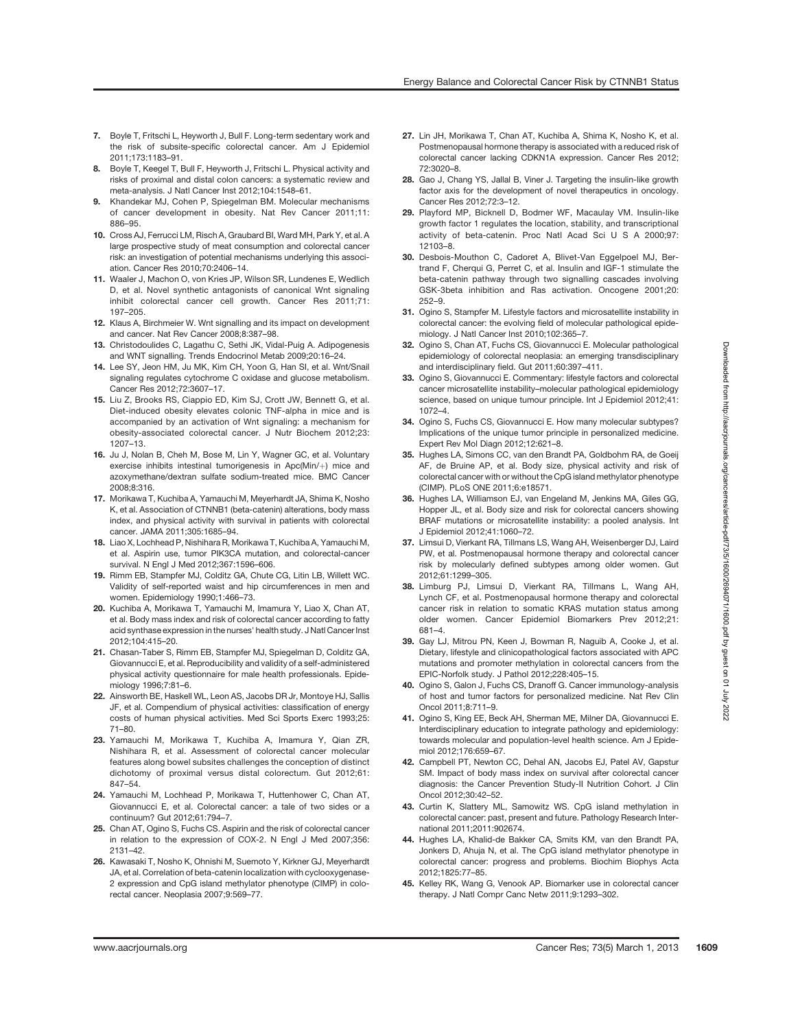- 7. Boyle T, Fritschi L, Heyworth J, Bull F. Long-term sedentary work and the risk of subsite-specific colorectal cancer. Am J Epidemiol 2011;173:1183–91.
- 8. Boyle T, Keegel T, Bull F, Heyworth J, Fritschi L, Physical activity and risks of proximal and distal colon cancers: a systematic review and meta-analysis. J Natl Cancer Inst 2012;104:1548–61.
- 9. Khandekar MJ, Cohen P, Spiegelman BM. Molecular mechanisms of cancer development in obesity. Nat Rev Cancer 2011;11: 886–95.
- 10. Cross AJ, Ferrucci LM, Risch A, Graubard BI, Ward MH, Park Y, et al. A large prospective study of meat consumption and colorectal cancer risk: an investigation of potential mechanisms underlying this association. Cancer Res 2010;70:2406–14.
- 11. Waaler J, Machon O, von Kries JP, Wilson SR, Lundenes E, Wedlich D, et al. Novel synthetic antagonists of canonical Wnt signaling inhibit colorectal cancer cell growth. Cancer Res 2011;71: 197–205.
- 12. Klaus A, Birchmeier W. Wnt signalling and its impact on development and cancer. Nat Rev Cancer 2008;8:387–98.
- 13. Christodoulides C, Lagathu C, Sethi JK, Vidal-Puig A. Adipogenesis and WNT signalling. Trends Endocrinol Metab 2009;20:16–24.
- 14. Lee SY, Jeon HM, Ju MK, Kim CH, Yoon G, Han SI, et al. Wnt/Snail signaling regulates cytochrome C oxidase and glucose metabolism. Cancer Res 2012;72:3607–17.
- 15. Liu Z, Brooks RS, Ciappio ED, Kim SJ, Crott JW, Bennett G, et al. Diet-induced obesity elevates colonic TNF-alpha in mice and is accompanied by an activation of Wnt signaling: a mechanism for obesity-associated colorectal cancer. J Nutr Biochem 2012;23: 1207–13.
- 16. Ju J, Nolan B, Cheh M, Bose M, Lin Y, Wagner GC, et al. Voluntary exercise inhibits intestinal tumorigenesis in Apc(Min/+) mice and azoxymethane/dextran sulfate sodium-treated mice. BMC Cancer 2008;8:316.
- 17. Morikawa T, Kuchiba A, Yamauchi M, Meyerhardt JA, Shima K, Nosho K, et al. Association of CTNNB1 (beta-catenin) alterations, body mass index, and physical activity with survival in patients with colorectal cancer. JAMA 2011;305:1685–94.
- 18. Liao X, Lochhead P, Nishihara R, Morikawa T, Kuchiba A, Yamauchi M, et al. Aspirin use, tumor PIK3CA mutation, and colorectal-cancer survival. N Engl J Med 2012;367:1596–606.
- 19. Rimm EB, Stampfer MJ, Colditz GA, Chute CG, Litin LB, Willett WC. Validity of self-reported waist and hip circumferences in men and women. Epidemiology 1990;1:466–73.
- 20. Kuchiba A, Morikawa T, Yamauchi M, Imamura Y, Liao X, Chan AT, et al. Body mass index and risk of colorectal cancer according to fatty acid synthase expression in the nurses' health study. J Natl Cancer Inst 2012;104:415–20.
- 21. Chasan-Taber S, Rimm EB, Stampfer MJ, Spiegelman D, Colditz GA, Giovannucci E, et al. Reproducibility and validity of a self-administered physical activity questionnaire for male health professionals. Epidemiology 1996;7:81–6.
- 22. Ainsworth BE, Haskell WL, Leon AS, Jacobs DR Jr, Montoye HJ, Sallis JF, et al. Compendium of physical activities: classification of energy costs of human physical activities. Med Sci Sports Exerc 1993;25: 71–80.
- 23. Yamauchi M, Morikawa T, Kuchiba A, Imamura Y, Qian ZR, Nishihara R, et al. Assessment of colorectal cancer molecular features along bowel subsites challenges the conception of distinct dichotomy of proximal versus distal colorectum. Gut 2012;61: 847–54.
- 24. Yamauchi M, Lochhead P, Morikawa T, Huttenhower C, Chan AT, Giovannucci E, et al. Colorectal cancer: a tale of two sides or a continuum? Gut 2012;61:794–7.
- 25. Chan AT, Ogino S, Fuchs CS. Aspirin and the risk of colorectal cancer in relation to the expression of COX-2. N Engl J Med 2007;356: 2131–42.
- 26. Kawasaki T, Nosho K, Ohnishi M, Suemoto Y, Kirkner GJ, Meyerhardt JA, et al. Correlation of beta-catenin localization with cyclooxygenase-2 expression and CpG island methylator phenotype (CIMP) in colorectal cancer. Neoplasia 2007;9:569–77.
- 27. Lin JH, Morikawa T, Chan AT, Kuchiba A, Shima K, Nosho K, et al. Postmenopausal hormone therapy is associated with a reduced risk of colorectal cancer lacking CDKN1A expression. Cancer Res 2012; 72:3020–8.
- 28. Gao J. Chang YS, Jallal B. Viner J. Targeting the insulin-like growth factor axis for the development of novel therapeutics in oncology. Cancer Res 2012;72:3–12.
- 29. Playford MP, Bicknell D, Bodmer WF, Macaulay VM. Insulin-like growth factor 1 regulates the location, stability, and transcriptional activity of beta-catenin. Proc Natl Acad Sci U S A 2000;97: 12103–8.
- 30. Desbois-Mouthon C, Cadoret A, Blivet-Van Eggelpoel MJ, Bertrand F, Cherqui G, Perret C, et al. Insulin and IGF-1 stimulate the beta-catenin pathway through two signalling cascades involving GSK-3beta inhibition and Ras activation. Oncogene 2001;20: 252–9.
- 31. Ogino S, Stampfer M. Lifestyle factors and microsatellite instability in colorectal cancer: the evolving field of molecular pathological epidemiology. J Natl Cancer Inst 2010;102:365–7.
- 32. Ogino S, Chan AT, Fuchs CS, Giovannucci E. Molecular pathological epidemiology of colorectal neoplasia: an emerging transdisciplinary and interdisciplinary field. Gut 2011;60:397–411.
- 33. Ogino S, Giovannucci E, Commentary: lifestyle factors and colorectal cancer microsatellite instability–molecular pathological epidemiology science, based on unique tumour principle. Int J Epidemiol 2012;41: 1072–4.
- 34. Ogino S, Fuchs CS, Giovannucci E. How many molecular subtypes? Implications of the unique tumor principle in personalized medicine. Expert Rev Mol Diagn 2012;12:621–8.
- 35. Hughes LA, Simons CC, van den Brandt PA, Goldbohm RA, de Goeij AF, de Bruine AP, et al. Body size, physical activity and risk of colorectal cancer with or without the CpG island methylator phenotype (CIMP). PLoS ONE 2011;6:e18571.
- 36. Hughes LA, Williamson EJ, van Engeland M, Jenkins MA, Giles GG, Hopper JL, et al. Body size and risk for colorectal cancers showing BRAF mutations or microsatellite instability: a pooled analysis. Int J Epidemiol 2012;41:1060–72.
- 37. Limsui D, Vierkant RA, Tillmans LS, Wang AH, Weisenberger DJ, Laird PW, et al. Postmenopausal hormone therapy and colorectal cancer risk by molecularly defined subtypes among older women. Gut 2012;61:1299–305.
- 38. Limburg PJ, Limsui D, Vierkant RA, Tillmans L, Wang AH, Lynch CF, et al. Postmenopausal hormone therapy and colorectal cancer risk in relation to somatic KRAS mutation status among older women. Cancer Epidemiol Biomarkers Prev 2012;21: 681–4.
- 39. Gay LJ, Mitrou PN, Keen J, Bowman R, Naguib A, Cooke J, et al. Dietary, lifestyle and clinicopathological factors associated with APC mutations and promoter methylation in colorectal cancers from the EPIC-Norfolk study. J Pathol 2012;228:405–15.
- 40. Ogino S, Galon J, Fuchs CS, Dranoff G. Cancer immunology-analysis of host and tumor factors for personalized medicine. Nat Rev Clin Oncol 2011;8:711–9.
- 41. Ogino S, King EE, Beck AH, Sherman ME, Milner DA, Giovannucci E. Interdisciplinary education to integrate pathology and epidemiology: towards molecular and population-level health science. Am J Epidemiol 2012;176:659–67.
- 42. Campbell PT, Newton CC, Dehal AN, Jacobs EJ, Patel AV, Gapstur SM. Impact of body mass index on survival after colorectal cancer diagnosis: the Cancer Prevention Study-II Nutrition Cohort. J Clin Oncol 2012;30:42–52.
- 43. Curtin K, Slattery ML, Samowitz WS. CpG island methylation in colorectal cancer: past, present and future. Pathology Research International 2011;2011:902674.
- 44. Hughes LA, Khalid-de Bakker CA, Smits KM, van den Brandt PA, Jonkers D, Ahuja N, et al. The CpG island methylator phenotype in colorectal cancer: progress and problems. Biochim Biophys Acta 2012;1825:77–85.
- 45. Kelley RK, Wang G, Venook AP. Biomarker use in colorectal cancer therapy. J Natl Compr Canc Netw 2011;9:1293–302.